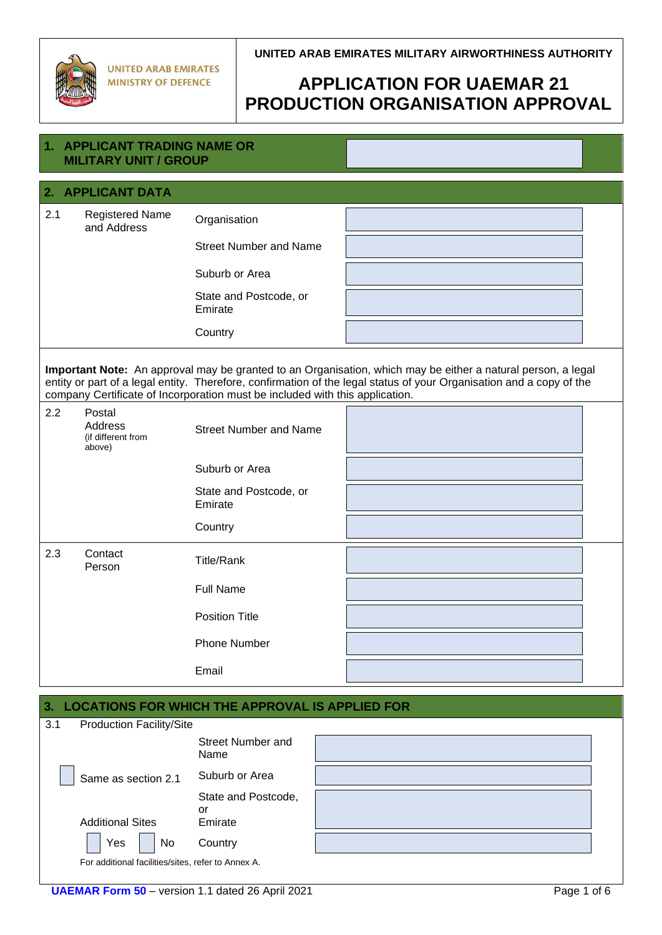

# **APPLICATION FOR UAEMAR 21 PRODUCTION ORGANISATION APPROVAL**

| 1.                                                                                                                                                                                                                                                                                                                   | <b>APPLICANT TRADING NAME OR</b><br><b>MILITARY UNIT / GROUP</b> |                                   |  |  |  |  |  |
|----------------------------------------------------------------------------------------------------------------------------------------------------------------------------------------------------------------------------------------------------------------------------------------------------------------------|------------------------------------------------------------------|-----------------------------------|--|--|--|--|--|
| 2. APPLICANT DATA                                                                                                                                                                                                                                                                                                    |                                                                  |                                   |  |  |  |  |  |
| 2.1                                                                                                                                                                                                                                                                                                                  | <b>Registered Name</b><br>and Address                            | Organisation                      |  |  |  |  |  |
|                                                                                                                                                                                                                                                                                                                      |                                                                  | <b>Street Number and Name</b>     |  |  |  |  |  |
|                                                                                                                                                                                                                                                                                                                      |                                                                  | Suburb or Area                    |  |  |  |  |  |
|                                                                                                                                                                                                                                                                                                                      |                                                                  | State and Postcode, or<br>Emirate |  |  |  |  |  |
|                                                                                                                                                                                                                                                                                                                      |                                                                  | Country                           |  |  |  |  |  |
| Important Note: An approval may be granted to an Organisation, which may be either a natural person, a legal<br>entity or part of a legal entity. Therefore, confirmation of the legal status of your Organisation and a copy of the<br>company Certificate of Incorporation must be included with this application. |                                                                  |                                   |  |  |  |  |  |
| 2.2                                                                                                                                                                                                                                                                                                                  | Postal<br>Address<br>(if different from<br>above)                | <b>Street Number and Name</b>     |  |  |  |  |  |
|                                                                                                                                                                                                                                                                                                                      |                                                                  | Suburb or Area                    |  |  |  |  |  |
|                                                                                                                                                                                                                                                                                                                      |                                                                  | State and Postcode, or<br>Emirate |  |  |  |  |  |
|                                                                                                                                                                                                                                                                                                                      |                                                                  | Country                           |  |  |  |  |  |
| 2.3                                                                                                                                                                                                                                                                                                                  | Contact<br>Person                                                | <b>Title/Rank</b>                 |  |  |  |  |  |
|                                                                                                                                                                                                                                                                                                                      |                                                                  | <b>Full Name</b>                  |  |  |  |  |  |
|                                                                                                                                                                                                                                                                                                                      |                                                                  | <b>Position Title</b>             |  |  |  |  |  |
|                                                                                                                                                                                                                                                                                                                      |                                                                  | <b>Phone Number</b>               |  |  |  |  |  |
|                                                                                                                                                                                                                                                                                                                      |                                                                  | Email                             |  |  |  |  |  |
| 3.<br><b>LOCATIONS FOR WHICH THE APPROVAL IS APPLIED FOR</b>                                                                                                                                                                                                                                                         |                                                                  |                                   |  |  |  |  |  |
| 3.1                                                                                                                                                                                                                                                                                                                  | <b>Production Facility/Site</b>                                  | Street Number and                 |  |  |  |  |  |

Same as section 2.1 Suburb or Area

Yes | No Country For additional facilities/sites, refer to Annex A.

Additional Sites

Name

or Emirate

State and Postcode,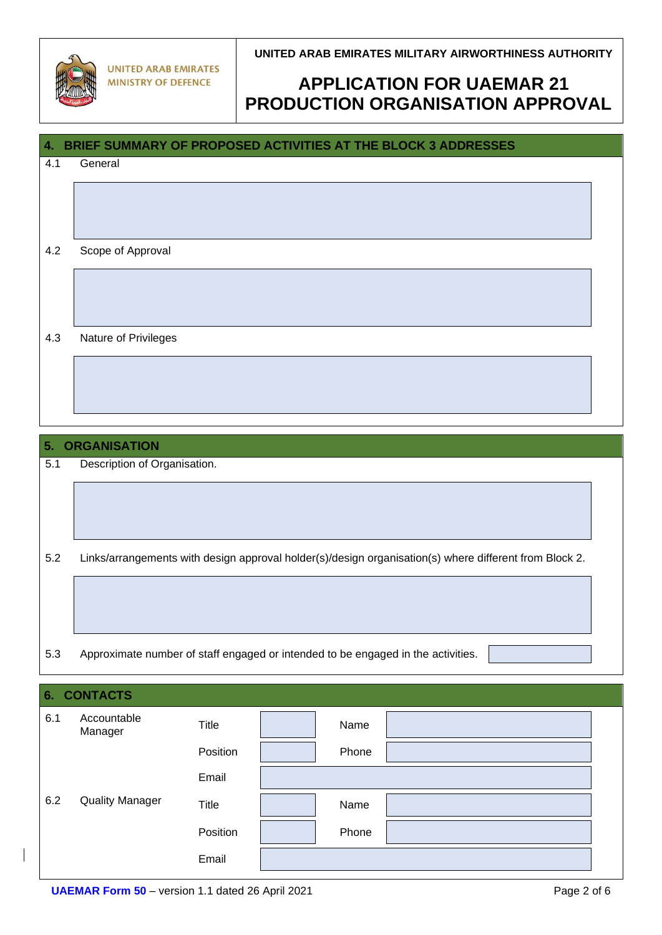

**UNITED ARAB EMIRATES MILITARY AIRWORTHINESS AUTHORITY**

# **APPLICATION FOR UAEMAR 21 PRODUCTION ORGANISATION APPROVAL**

| BRIEF SUMMARY OF PROPOSED ACTIVITIES AT THE BLOCK 3 ADDRESSES<br>4. |                                                                                                        |              |  |       |  |  |
|---------------------------------------------------------------------|--------------------------------------------------------------------------------------------------------|--------------|--|-------|--|--|
| 4.1                                                                 | General                                                                                                |              |  |       |  |  |
|                                                                     |                                                                                                        |              |  |       |  |  |
|                                                                     |                                                                                                        |              |  |       |  |  |
| 4.2                                                                 | Scope of Approval                                                                                      |              |  |       |  |  |
|                                                                     |                                                                                                        |              |  |       |  |  |
|                                                                     |                                                                                                        |              |  |       |  |  |
|                                                                     |                                                                                                        |              |  |       |  |  |
| 4.3                                                                 | Nature of Privileges                                                                                   |              |  |       |  |  |
|                                                                     |                                                                                                        |              |  |       |  |  |
|                                                                     |                                                                                                        |              |  |       |  |  |
|                                                                     |                                                                                                        |              |  |       |  |  |
| 5.<br><b>ORGANISATION</b>                                           |                                                                                                        |              |  |       |  |  |
| 5.1                                                                 | Description of Organisation.                                                                           |              |  |       |  |  |
|                                                                     |                                                                                                        |              |  |       |  |  |
|                                                                     |                                                                                                        |              |  |       |  |  |
|                                                                     |                                                                                                        |              |  |       |  |  |
| 5.2                                                                 | Links/arrangements with design approval holder(s)/design organisation(s) where different from Block 2. |              |  |       |  |  |
|                                                                     |                                                                                                        |              |  |       |  |  |
|                                                                     |                                                                                                        |              |  |       |  |  |
|                                                                     |                                                                                                        |              |  |       |  |  |
| 5.3                                                                 | Approximate number of staff engaged or intended to be engaged in the activities.                       |              |  |       |  |  |
| <b>CONTACTS</b><br>6.                                               |                                                                                                        |              |  |       |  |  |
| 6.1                                                                 | Accountable                                                                                            | <b>Title</b> |  | Name  |  |  |
|                                                                     | Manager                                                                                                | Position     |  | Phone |  |  |
|                                                                     |                                                                                                        | Email        |  |       |  |  |
| 6.2                                                                 | <b>Quality Manager</b>                                                                                 | Title        |  | Name  |  |  |

Email

Position | Phone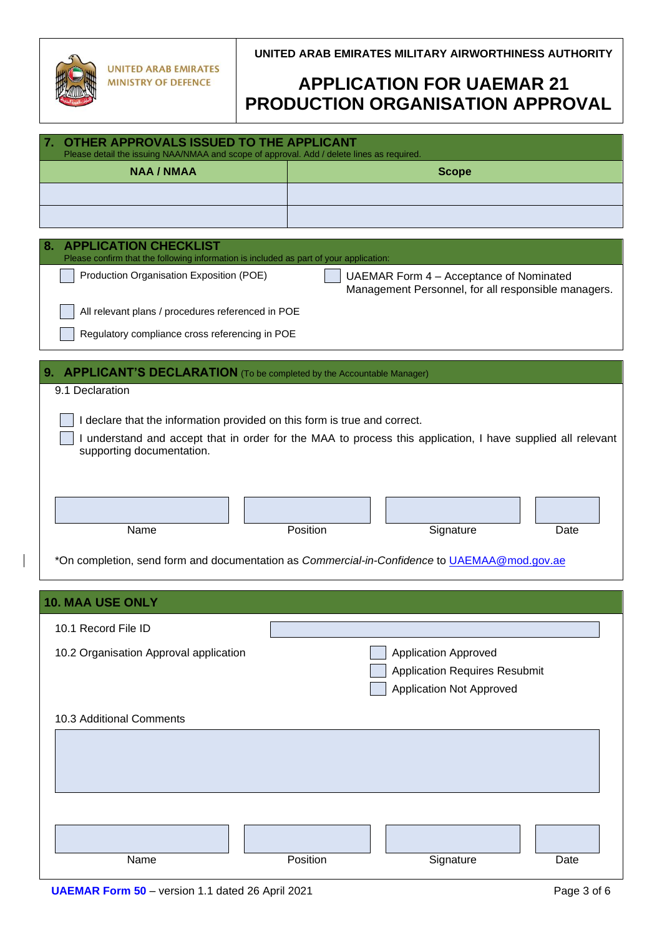**UNITED ARAB EMIRATES MILITARY AIRWORTHINESS AUTHORITY**

# **APPLICATION FOR UAEMAR 21 PRODUCTION ORGANISATION APPROVAL**

| Please detail the issuing NAA/NMAA and scope of approval. Add / delete lines as required.<br><b>NAA / NMAA</b><br><b>Scope</b>                                                                                                                                 |  |  |  |  |  |  |  |  |
|----------------------------------------------------------------------------------------------------------------------------------------------------------------------------------------------------------------------------------------------------------------|--|--|--|--|--|--|--|--|
|                                                                                                                                                                                                                                                                |  |  |  |  |  |  |  |  |
|                                                                                                                                                                                                                                                                |  |  |  |  |  |  |  |  |
|                                                                                                                                                                                                                                                                |  |  |  |  |  |  |  |  |
| <b>APPLICATION CHECKLIST</b><br>8.                                                                                                                                                                                                                             |  |  |  |  |  |  |  |  |
| Please confirm that the following information is included as part of your application:                                                                                                                                                                         |  |  |  |  |  |  |  |  |
| Production Organisation Exposition (POE)<br>UAEMAR Form 4 - Acceptance of Nominated<br>Management Personnel, for all responsible managers.                                                                                                                     |  |  |  |  |  |  |  |  |
| All relevant plans / procedures referenced in POE                                                                                                                                                                                                              |  |  |  |  |  |  |  |  |
| Regulatory compliance cross referencing in POE                                                                                                                                                                                                                 |  |  |  |  |  |  |  |  |
| <b>APPLICANT'S DECLARATION</b> (To be completed by the Accountable Manager)<br>9.                                                                                                                                                                              |  |  |  |  |  |  |  |  |
| 9.1 Declaration                                                                                                                                                                                                                                                |  |  |  |  |  |  |  |  |
| I declare that the information provided on this form is true and correct.<br>I understand and accept that in order for the MAA to process this application, I have supplied all relevant<br>supporting documentation.<br>Position<br>Signature<br>Name<br>Date |  |  |  |  |  |  |  |  |
| *On completion, send form and documentation as Commercial-in-Confidence to UAEMAA@mod.gov.ae                                                                                                                                                                   |  |  |  |  |  |  |  |  |
| <b>10. MAA USE ONLY</b>                                                                                                                                                                                                                                        |  |  |  |  |  |  |  |  |
| 10.1 Record File ID                                                                                                                                                                                                                                            |  |  |  |  |  |  |  |  |
| 10.2 Organisation Approval application<br><b>Application Approved</b><br><b>Application Requires Resubmit</b><br><b>Application Not Approved</b>                                                                                                               |  |  |  |  |  |  |  |  |
| 10.3 Additional Comments                                                                                                                                                                                                                                       |  |  |  |  |  |  |  |  |
|                                                                                                                                                                                                                                                                |  |  |  |  |  |  |  |  |
|                                                                                                                                                                                                                                                                |  |  |  |  |  |  |  |  |
| Name<br>Position<br>Signature<br>Date                                                                                                                                                                                                                          |  |  |  |  |  |  |  |  |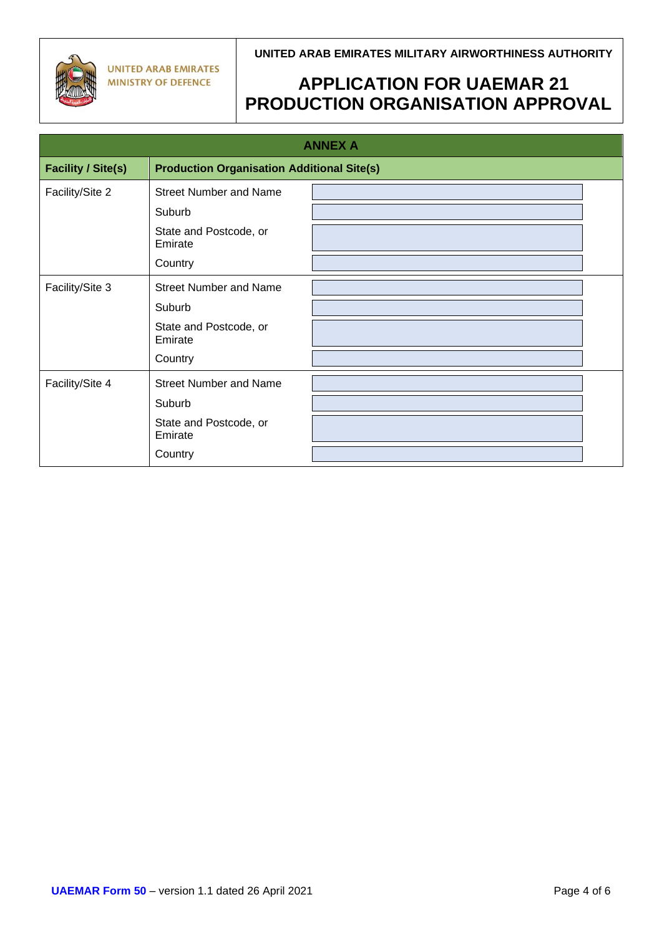**UNITED ARAB EMIRATES MINISTRY OF DEFENCE** 

### **UNITED ARAB EMIRATES MILITARY AIRWORTHINESS AUTHORITY**

## **APPLICATION FOR UAEMAR 21 PRODUCTION ORGANISATION APPROVAL**

| <b>ANNEX A</b>                                                                 |                                   |  |  |  |  |
|--------------------------------------------------------------------------------|-----------------------------------|--|--|--|--|
| <b>Facility / Site(s)</b><br><b>Production Organisation Additional Site(s)</b> |                                   |  |  |  |  |
| Facility/Site 2                                                                | <b>Street Number and Name</b>     |  |  |  |  |
|                                                                                | Suburb                            |  |  |  |  |
|                                                                                | State and Postcode, or<br>Emirate |  |  |  |  |
|                                                                                | Country                           |  |  |  |  |
| Facility/Site 3                                                                | <b>Street Number and Name</b>     |  |  |  |  |
|                                                                                | Suburb                            |  |  |  |  |
|                                                                                | State and Postcode, or<br>Emirate |  |  |  |  |
|                                                                                | Country                           |  |  |  |  |
| Facility/Site 4                                                                | <b>Street Number and Name</b>     |  |  |  |  |
|                                                                                | Suburb                            |  |  |  |  |
|                                                                                | State and Postcode, or<br>Emirate |  |  |  |  |
|                                                                                | Country                           |  |  |  |  |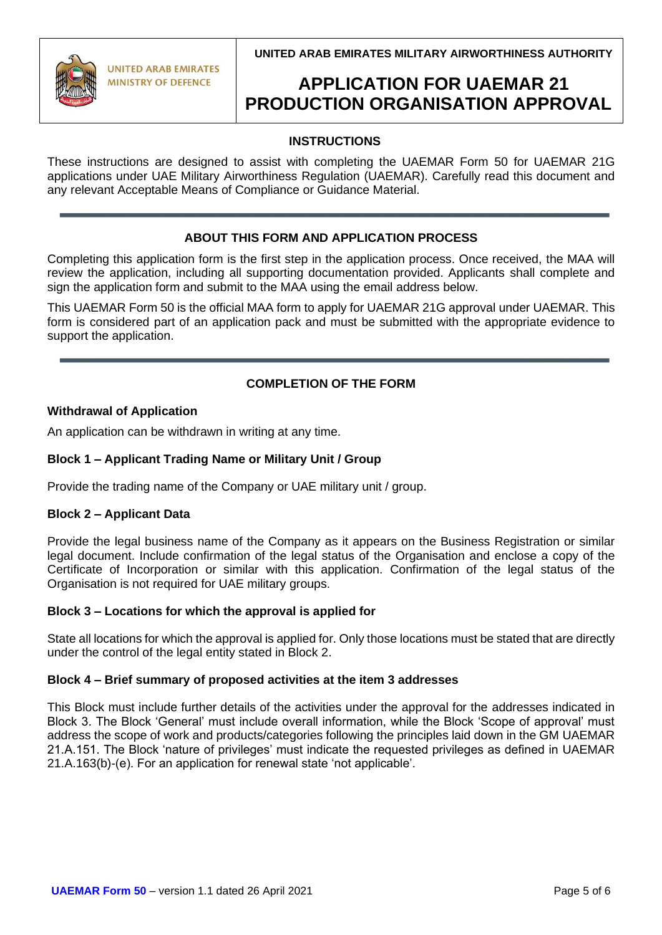**UNITED ARAB EMIRATES MILITARY AIRWORTHINESS AUTHORITY**



**UNITED ARAB EMIRATES MINISTRY OF DEFENCE** 

## **APPLICATION FOR UAEMAR 21 PRODUCTION ORGANISATION APPROVAL**

## **INSTRUCTIONS**

These instructions are designed to assist with completing the UAEMAR Form 50 for UAEMAR 21G applications under UAE Military Airworthiness Regulation (UAEMAR). Carefully read this document and any relevant Acceptable Means of Compliance or Guidance Material.

### **ABOUT THIS FORM AND APPLICATION PROCESS**

Completing this application form is the first step in the application process. Once received, the MAA will review the application, including all supporting documentation provided. Applicants shall complete and sign the application form and submit to the MAA using the email address below.

This UAEMAR Form 50 is the official MAA form to apply for UAEMAR 21G approval under UAEMAR. This form is considered part of an application pack and must be submitted with the appropriate evidence to support the application.

### **COMPLETION OF THE FORM**

#### **Withdrawal of Application**

An application can be withdrawn in writing at any time.

#### **Block 1 – Applicant Trading Name or Military Unit / Group**

Provide the trading name of the Company or UAE military unit / group.

#### **Block 2 – Applicant Data**

Provide the legal business name of the Company as it appears on the Business Registration or similar legal document. Include confirmation of the legal status of the Organisation and enclose a copy of the Certificate of Incorporation or similar with this application. Confirmation of the legal status of the Organisation is not required for UAE military groups.

#### **Block 3 – Locations for which the approval is applied for**

State all locations for which the approval is applied for. Only those locations must be stated that are directly under the control of the legal entity stated in Block 2.

#### **Block 4 – Brief summary of proposed activities at the item 3 addresses**

This Block must include further details of the activities under the approval for the addresses indicated in Block 3. The Block 'General' must include overall information, while the Block 'Scope of approval' must address the scope of work and products/categories following the principles laid down in the GM UAEMAR 21.A.151. The Block 'nature of privileges' must indicate the requested privileges as defined in UAEMAR 21.A.163(b)-(e). For an application for renewal state 'not applicable'.